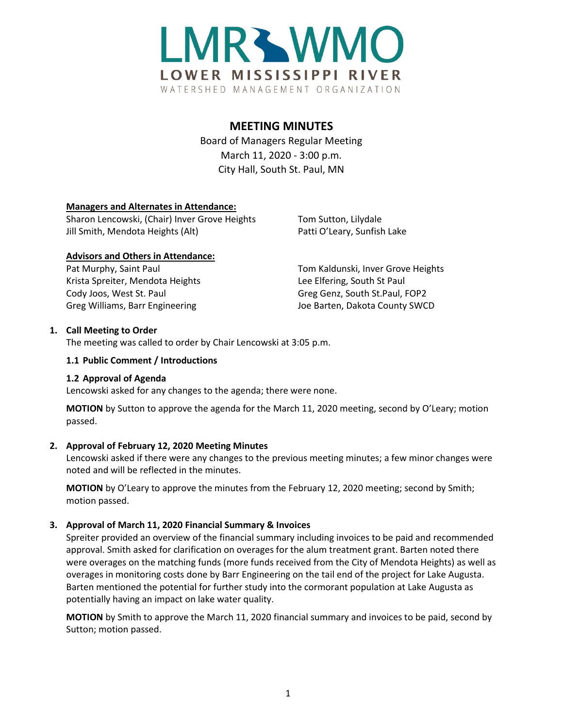

# **MEETING MINUTES**

Board of Managers Regular Meeting March 11, 2020 - 3:00 p.m. City Hall, South St. Paul, MN

# **Managers and Alternates in Attendance:**

Sharon Lencowski, (Chair) Inver Grove Heights Tom Sutton, Lilydale Jill Smith, Mendota Heights (Alt) Patti O'Leary, Sunfish Lake

# **Advisors and Others in Attendance:**

Krista Spreiter, Mendota Heights Lee Elfering, South St Paul Cody Joos, West St. Paul Greg Genz, South St. Paul, FOP2

Pat Murphy, Saint Paul **The Communist Communist Paper** Tom Kaldunski, Inver Grove Heights Greg Williams, Barr Engineering The Matter of Barten, Dakota County SWCD

## **1. Call Meeting to Order**

The meeting was called to order by Chair Lencowski at 3:05 p.m.

## **1.1 Public Comment / Introductions**

# **1.2 Approval of Agenda**

Lencowski asked for any changes to the agenda; there were none.

**MOTION** by Sutton to approve the agenda for the March 11, 2020 meeting, second by O'Leary; motion passed.

# **2. Approval of February 12, 2020 Meeting Minutes**

Lencowski asked if there were any changes to the previous meeting minutes; a few minor changes were noted and will be reflected in the minutes.

**MOTION** by O'Leary to approve the minutes from the February 12, 2020 meeting; second by Smith; motion passed.

# **3. Approval of March 11, 2020 Financial Summary & Invoices**

Spreiter provided an overview of the financial summary including invoices to be paid and recommended approval. Smith asked for clarification on overages for the alum treatment grant. Barten noted there were overages on the matching funds (more funds received from the City of Mendota Heights) as well as overages in monitoring costs done by Barr Engineering on the tail end of the project for Lake Augusta. Barten mentioned the potential for further study into the cormorant population at Lake Augusta as potentially having an impact on lake water quality.

**MOTION** by Smith to approve the March 11, 2020 financial summary and invoices to be paid, second by Sutton; motion passed.